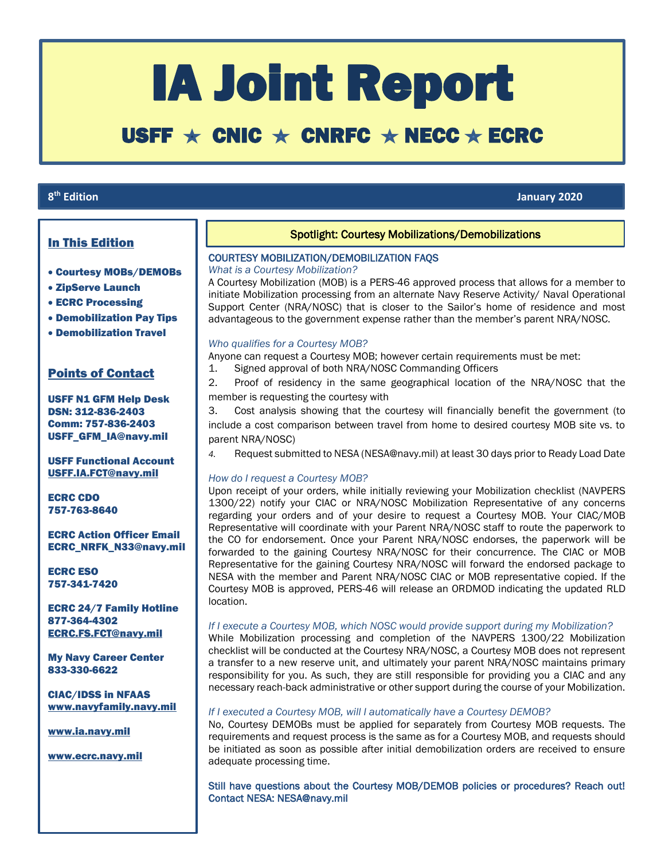# IA Joint Report

# USFF  $\star$  CNIC  $\star$  CNRFC  $\star$  NECC  $\star$  ECRC

# 8<sup>th</sup> Edition

**th Edition January 2020**

 $\overline{\phantom{a}}$ 

# In This Edition

- Courtesy MOBs/DEMOBs
- ZipServe Launch
- ECRC Processing
- Demobilization Pay Tips
- Demobilization Travel

# Points of Contact

USFF N1 GFM Help Desk DSN: 312-836-2403 Comm: 757-836-2403 USFF\_GFM\_IA@navy.mil

USFF Functional Account [USFF.IA.FCT@navy.mil](mailto:USFF.IA.FCT@navy.mil)

ECRC CDO 757-763-8640

ECRC Action Officer Email ECRC\_NRFK\_N33@navy.mil

ECRC ESO 757-341-7420

ECRC 24/7 Family Hotline 877-364-4302 [ECRC.FS.FCT@navy.mil](mailto:ECRC.FS.FCT@navy.mil)

My Navy Career Center 833-330-6622

CIAC/IDSS in NFAAS [www.navyfamily.navy.mil](http://www.navyfamily.navy.mil/)

[www.ia.navy.mil](http://www.ia.navy.mil/)

[www.ecrc.navy.mil](http://www.ecrc.navy.mil/)

# Spotlight: Courtesy Mobilizations/Demobilizations

ׇ֚֬֡

## COURTESY MOBILIZATION/DEMOBILIZATION FAQS

*What is a Courtesy Mobilization?*

A Courtesy Mobilization (MOB) is a PERS-46 approved process that allows for a member to initiate Mobilization processing from an alternate Navy Reserve Activity/ Naval Operational Support Center (NRA/NOSC) that is closer to the Sailor's home of residence and most advantageous to the government expense rather than the member's parent NRA/NOSC.

#### *Who qualifies for a Courtesy MOB?*

Anyone can request a Courtesy MOB; however certain requirements must be met:

1. Signed approval of both NRA/NOSC Commanding Officers

2. Proof of residency in the same geographical location of the NRA/NOSC that the member is requesting the courtesy with

3. Cost analysis showing that the courtesy will financially benefit the government (to include a cost comparison between travel from home to desired courtesy MOB site vs. to parent NRA/NOSC)

*4.* Request submitted to NESA (NESA@navy.mil) at least 30 days prior to Ready Load Date

## *How do I request a Courtesy MOB?*

Upon receipt of your orders, while initially reviewing your Mobilization checklist (NAVPERS 1300/22) notify your CIAC or NRA/NOSC Mobilization Representative of any concerns regarding your orders and of your desire to request a Courtesy MOB. Your CIAC/MOB Representative will coordinate with your Parent NRA/NOSC staff to route the paperwork to the CO for endorsement. Once your Parent NRA/NOSC endorses, the paperwork will be forwarded to the gaining Courtesy NRA/NOSC for their concurrence. The CIAC or MOB Representative for the gaining Courtesy NRA/NOSC will forward the endorsed package to NESA with the member and Parent NRA/NOSC CIAC or MOB representative copied. If the Courtesy MOB is approved, PERS-46 will release an ORDMOD indicating the updated RLD location.

## *If I execute a Courtesy MOB, which NOSC would provide support during my Mobilization?*

While Mobilization processing and completion of the NAVPERS 1300/22 Mobilization checklist will be conducted at the Courtesy NRA/NOSC, a Courtesy MOB does not represent a transfer to a new reserve unit, and ultimately your parent NRA/NOSC maintains primary responsibility for you. As such, they are still responsible for providing you a CIAC and any necessary reach-back administrative or other support during the course of your Mobilization.

## *If I executed a Courtesy MOB, will I automatically have a Courtesy DEMOB?*

No, Courtesy DEMOBs must be applied for separately from Courtesy MOB requests. The requirements and request process is the same as for a Courtesy MOB, and requests should be initiated as soon as possible after initial demobilization orders are received to ensure adequate processing time.

## Still have questions about the Courtesy MOB/DEMOB policies or procedures? Reach out! Contact NESA: NESA@navy.mil